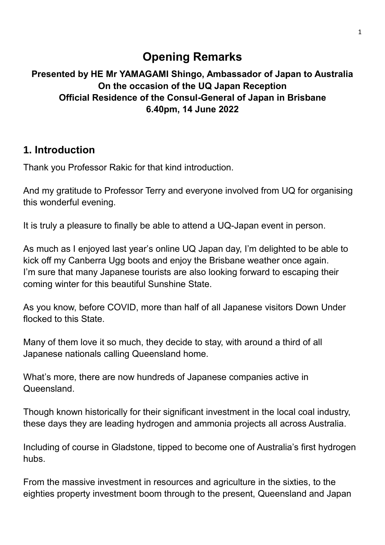# **Opening Remarks**

### **Presented by HE Mr YAMAGAMI Shingo, Ambassador of Japan to Australia On the occasion of the UQ Japan Reception Official Residence of the Consul-General of Japan in Brisbane 6.40pm, 14 June 2022**

# **1. Introduction**

Thank you Professor Rakic for that kind introduction.

And my gratitude to Professor Terry and everyone involved from UQ for organising this wonderful evening.

It is truly a pleasure to finally be able to attend a UQ-Japan event in person.

As much as I enjoyed last year's online UQ Japan day, I'm delighted to be able to kick off my Canberra Ugg boots and enjoy the Brisbane weather once again. I'm sure that many Japanese tourists are also looking forward to escaping their coming winter for this beautiful Sunshine State.

As you know, before COVID, more than half of all Japanese visitors Down Under flocked to this State.

Many of them love it so much, they decide to stay, with around a third of all Japanese nationals calling Queensland home.

What's more, there are now hundreds of Japanese companies active in **Queensland** 

Though known historically for their significant investment in the local coal industry, these days they are leading hydrogen and ammonia projects all across Australia.

Including of course in Gladstone, tipped to become one of Australia's first hydrogen hubs.

From the massive investment in resources and agriculture in the sixties, to the eighties property investment boom through to the present, Queensland and Japan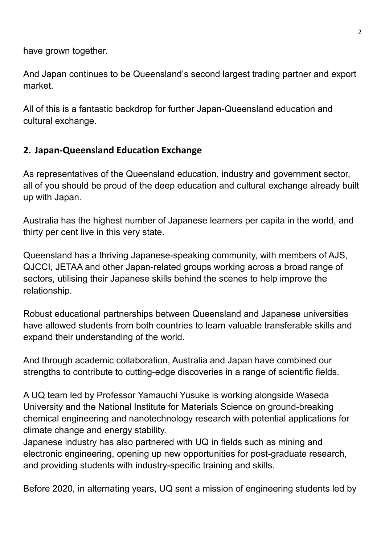have grown together.

And Japan continues to be Queensland's second largest trading partner and export market.

All of this is a fantastic backdrop for further Japan-Queensland education and cultural exchange.

### **2. Japan-Queensland Education Exchange**

As representatives of the Queensland education, industry and government sector, all of you should be proud of the deep education and cultural exchange already built up with Japan.

Australia has the highest number of Japanese learners per capita in the world, and thirty per cent live in this very state.

Queensland has a thriving Japanese-speaking community, with members of AJS, QJCCI, JETAA and other Japan-related groups working across a broad range of sectors, utilising their Japanese skills behind the scenes to help improve the relationship.

Robust educational partnerships between Queensland and Japanese universities have allowed students from both countries to learn valuable transferable skills and expand their understanding of the world.

And through academic collaboration, Australia and Japan have combined our strengths to contribute to cutting-edge discoveries in a range of scientific fields.

A UQ team led by Professor Yamauchi Yusuke is working alongside Waseda University and the National Institute for Materials Science on ground-breaking chemical engineering and nanotechnology research with potential applications for climate change and energy stability.

Japanese industry has also partnered with UQ in fields such as mining and electronic engineering, opening up new opportunities for post-graduate research, and providing students with industry-specific training and skills.

Before 2020, in alternating years, UQ sent a mission of engineering students led by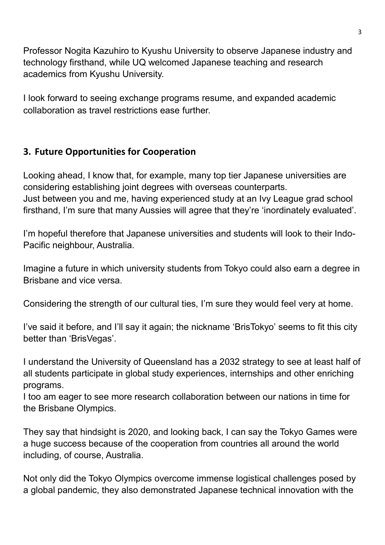Professor Nogita Kazuhiro to Kyushu University to observe Japanese industry and technology firsthand, while UQ welcomed Japanese teaching and research academics from Kyushu University.

I look forward to seeing exchange programs resume, and expanded academic collaboration as travel restrictions ease further.

# **3. Future Opportunities for Cooperation**

Looking ahead, I know that, for example, many top tier Japanese universities are considering establishing joint degrees with overseas counterparts. Just between you and me, having experienced study at an Ivy League grad school firsthand, I'm sure that many Aussies will agree that they're 'inordinately evaluated'.

I'm hopeful therefore that Japanese universities and students will look to their Indo-Pacific neighbour, Australia.

Imagine a future in which university students from Tokyo could also earn a degree in Brisbane and vice versa.

Considering the strength of our cultural ties, I'm sure they would feel very at home.

I've said it before, and I'll say it again; the nickname 'BrisTokyo' seems to fit this city better than 'BrisVegas'.

I understand the University of Queensland has a 2032 strategy to see at least half of all students participate in global study experiences, internships and other enriching programs.

I too am eager to see more research collaboration between our nations in time for the Brisbane Olympics.

They say that hindsight is 2020, and looking back, I can say the Tokyo Games were a huge success because of the cooperation from countries all around the world including, of course, Australia.

Not only did the Tokyo Olympics overcome immense logistical challenges posed by a global pandemic, they also demonstrated Japanese technical innovation with the